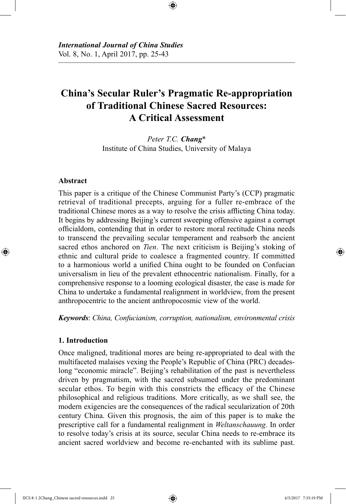# **China's Secular Ruler's Pragmatic Re-appropriation of Traditional Chinese Sacred Resources: A Critical Assessment**

⊕

*Peter T.C. Chang*\* Institute of China Studies, University of Malaya

#### **Abstract**

⊕

This paper is a critique of the Chinese Communist Party's (CCP) pragmatic retrieval of traditional precepts, arguing for a fuller re-embrace of the traditional Chinese mores as a way to resolve the crisis afflicting China today. It begins by addressing Beijing's current sweeping offensive against a corrupt officialdom, contending that in order to restore moral rectitude China needs to transcend the prevailing secular temperament and reabsorb the ancient sacred ethos anchored on *Tien*. The next criticism is Beijing's stoking of ethnic and cultural pride to coalesce a fragmented country. If committed to a harmonious world a unified China ought to be founded on Confucian universalism in lieu of the prevalent ethnocentric nationalism. Finally, for a comprehensive response to a looming ecological disaster, the case is made for China to undertake a fundamental realignment in worldview, from the present anthropocentric to the ancient anthropocosmic view of the world.

*Keywords*: *China, Confucianism, corruption, nationalism, environmental crisis*

## **1. Introduction**

Once maligned, traditional mores are being re-appropriated to deal with the multifaceted malaises vexing the People's Republic of China (PRC) decadeslong "economic miracle". Beijing's rehabilitation of the past is nevertheless driven by pragmatism, with the sacred subsumed under the predominant secular ethos. To begin with this constricts the efficacy of the Chinese philosophical and religious traditions. More critically, as we shall see, the modern exigencies are the consequences of the radical secularization of 20th century China. Given this prognosis, the aim of this paper is to make the prescriptive call for a fundamental realignment in *Weltanschauung*. In order to resolve today's crisis at its source, secular China needs to re-embrace its ancient sacred worldview and become re-enchanted with its sublime past.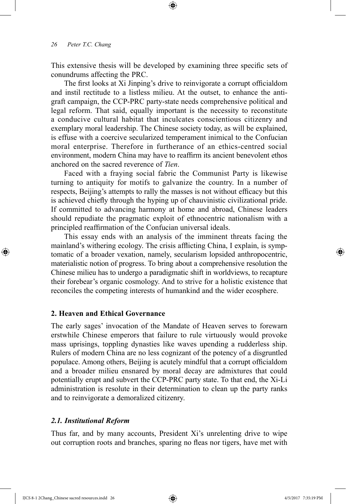This extensive thesis will be developed by examining three specific sets of conundrums affecting the PRC.

⊕

The first looks at Xi Jinping's drive to reinvigorate a corrupt officialdom and instil rectitude to a listless milieu. At the outset, to enhance the antigraft campaign, the CCP-PRC party-state needs comprehensive political and legal reform. That said, equally important is the necessity to reconstitute a conducive cultural habitat that inculcates conscientious citizenry and exemplary moral leadership. The Chinese society today, as will be explained, is effuse with a coercive secularized temperament inimical to the Confucian moral enterprise. Therefore in furtherance of an ethics-centred social environment, modern China may have to reaffirm its ancient benevolent ethos anchored on the sacred reverence of *Tien*.

Faced with a fraying social fabric the Communist Party is likewise turning to antiquity for motifs to galvanize the country. In a number of respects, Beijing's attempts to rally the masses is not without efficacy but this is achieved chiefly through the hyping up of chauvinistic civilizational pride. If committed to advancing harmony at home and abroad, Chinese leaders should repudiate the pragmatic exploit of ethnocentric nationalism with a principled reaffirmation of the Confucian universal ideals.

This essay ends with an analysis of the imminent threats facing the mainland's withering ecology. The crisis afflicting China, I explain, is symptomatic of a broader vexation, namely, secularism lopsided anthropocentric, materialistic notion of progress. To bring about a comprehensive resolution the Chinese milieu has to undergo a paradigmatic shift in worldviews, to recapture their forebear's organic cosmology. And to strive for a holistic existence that reconciles the competing interests of humankind and the wider ecosphere.

## **2. Heaven and Ethical Governance**

The early sages' invocation of the Mandate of Heaven serves to forewarn erstwhile Chinese emperors that failure to rule virtuously would provoke mass uprisings, toppling dynasties like waves upending a rudderless ship. Rulers of modern China are no less cognizant of the potency of a disgruntled populace. Among others, Beijing is acutely mindful that a corrupt officialdom and a broader milieu ensnared by moral decay are admixtures that could potentially erupt and subvert the CCP-PRC party state. To that end, the Xi-Li administration is resolute in their determination to clean up the party ranks and to reinvigorate a demoralized citizenry.

#### *2.1. Institutional Reform*

Thus far, and by many accounts, President Xi's unrelenting drive to wipe out corruption roots and branches, sparing no fleas nor tigers, have met with

IJCS 8-1 2Chang\_Chinese sacred resources.indd 26 4/5/2017 7:35:19 PM

⊕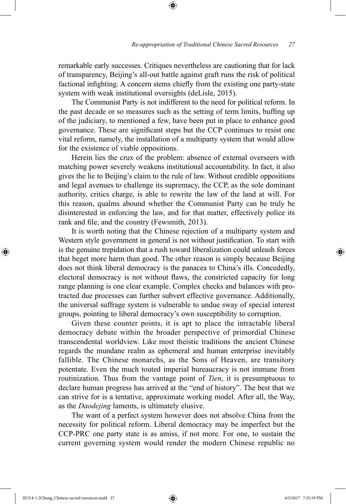remarkable early successes. Critiques nevertheless are cautioning that for lack of transparency, Beijing's all-out battle against graft runs the risk of political factional infighting. A concern stems chiefly from the existing one party-state system with weak institutional oversights (deLisle, 2015).

⊕

The Communist Party is not indifferent to the need for political reform. In the past decade or so measures such as the setting of term limits, buffing up of the judiciary, to mentioned a few, have been put in place to enhance good governance. These are significant steps but the CCP continues to resist one vital reform, namely, the installation of a multiparty system that would allow for the existence of viable oppositions.

Herein lies the crux of the problem: absence of external overseers with matching power severely weakens institutional accountability. In fact, it also gives the lie to Beijing's claim to the rule of law. Without credible oppositions and legal avenues to challenge its supremacy, the CCP, as the sole dominant authority, critics charge, is able to rewrite the law of the land at will. For this reason, qualms abound whether the Communist Party can be truly be disinterested in enforcing the law, and for that matter, effectively police its rank and file, and the country (Fewsmith, 2013).

It is worth noting that the Chinese rejection of a multiparty system and Western style government in general is not without justification. To start with is the genuine trepidation that a rush toward liberalization could unleash forces that beget more harm than good. The other reason is simply because Beijing does not think liberal democracy is the panacea to China's ills. Concededly, electoral democracy is not without flaws, the constricted capacity for long range planning is one clear example. Complex checks and balances with protracted due processes can further subvert effective governance. Additionally, the universal suffrage system is vulnerable to undue sway of special interest groups, pointing to liberal democracy's own susceptibility to corruption.

Given these counter points, it is apt to place the intractable liberal democracy debate within the broader perspective of primordial Chinese transcendental worldview. Like most theistic traditions the ancient Chinese regards the mundane realm as ephemeral and human enterprise inevitably fallible. The Chinese monarchs, as the Sons of Heaven, are transitory potentate. Even the much touted imperial bureaucracy is not immune from routinization. Thus from the vantage point of *Tien*, it is presumptuous to declare human progress has arrived at the "end of history". The best that we can strive for is a tentative, approximate working model. After all, the Way, as the *Daodejing* laments, is ultimately elusive.

The want of a perfect system however does not absolve China from the necessity for political reform. Liberal democracy may be imperfect but the CCP-PRC one party state is as amiss, if not more. For one, to sustain the current governing system would render the modern Chinese republic no

IJCS 8-1 2Chang\_Chinese sacred resources.indd 27 4/5/2017 7:35:19 PM

⊕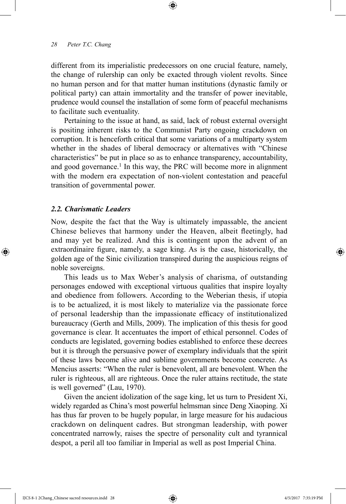different from its imperialistic predecessors on one crucial feature, namely, the change of rulership can only be exacted through violent revolts. Since no human person and for that matter human institutions (dynastic family or political party) can attain immortality and the transfer of power inevitable, prudence would counsel the installation of some form of peaceful mechanisms to facilitate such eventuality.

⊕

Pertaining to the issue at hand, as said, lack of robust external oversight is positing inherent risks to the Communist Party ongoing crackdown on corruption. It is henceforth critical that some variations of a multiparty system whether in the shades of liberal democracy or alternatives with "Chinese characteristics" be put in place so as to enhance transparency, accountability, and good governance.<sup>1</sup> In this way, the PRC will become more in alignment with the modern era expectation of non-violent contestation and peaceful transition of governmental power.

## *2.2. Charismatic Leaders*

⊕

Now, despite the fact that the Way is ultimately impassable, the ancient Chinese believes that harmony under the Heaven, albeit fleetingly, had and may yet be realized. And this is contingent upon the advent of an extraordinaire figure, namely, a sage king. As is the case, historically, the golden age of the Sinic civilization transpired during the auspicious reigns of noble sovereigns.

This leads us to Max Weber's analysis of charisma, of outstanding personages endowed with exceptional virtuous qualities that inspire loyalty and obedience from followers. According to the Weberian thesis, if utopia is to be actualized, it is most likely to materialize via the passionate force of personal leadership than the impassionate efficacy of institutionalized bureaucracy (Gerth and Mills, 2009). The implication of this thesis for good governance is clear. It accentuates the import of ethical personnel. Codes of conducts are legislated, governing bodies established to enforce these decrees but it is through the persuasive power of exemplary individuals that the spirit of these laws become alive and sublime governments become concrete. As Mencius asserts: "When the ruler is benevolent, all are benevolent. When the ruler is righteous, all are righteous. Once the ruler attains rectitude, the state is well governed" (Lau, 1970).

Given the ancient idolization of the sage king, let us turn to President Xi, widely regarded as China's most powerful helmsman since Deng Xiaoping. Xi has thus far proven to be hugely popular, in large measure for his audacious crackdown on delinquent cadres. But strongman leadership, with power concentrated narrowly, raises the spectre of personality cult and tyrannical despot, a peril all too familiar in Imperial as well as post Imperial China.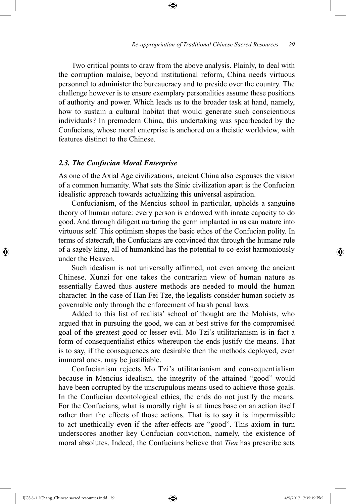Two critical points to draw from the above analysis. Plainly, to deal with the corruption malaise, beyond institutional reform, China needs virtuous personnel to administer the bureaucracy and to preside over the country. The challenge however is to ensure exemplary personalities assume these positions of authority and power. Which leads us to the broader task at hand, namely, how to sustain a cultural habitat that would generate such conscientious individuals? In premodern China, this undertaking was spearheaded by the Confucians, whose moral enterprise is anchored on a theistic worldview, with features distinct to the Chinese.

⊕

#### *2.3. The Confucian Moral Enterprise*

As one of the Axial Age civilizations, ancient China also espouses the vision of a common humanity. What sets the Sinic civilization apart is the Confucian idealistic approach towards actualizing this universal aspiration.

Confucianism, of the Mencius school in particular, upholds a sanguine theory of human nature: every person is endowed with innate capacity to do good. And through diligent nurturing the germ implanted in us can mature into virtuous self. This optimism shapes the basic ethos of the Confucian polity. In terms of statecraft, the Confucians are convinced that through the humane rule of a sagely king, all of humankind has the potential to co-exist harmoniously under the Heaven.

Such idealism is not universally affirmed, not even among the ancient Chinese. Xunzi for one takes the contrarian view of human nature as essentially flawed thus austere methods are needed to mould the human character. In the case of Han Fei Tze, the legalists consider human society as governable only through the enforcement of harsh penal laws.

Added to this list of realists' school of thought are the Mohists, who argued that in pursuing the good, we can at best strive for the compromised goal of the greatest good or lesser evil. Mo Tzi's utilitarianism is in fact a form of consequentialist ethics whereupon the ends justify the means. That is to say, if the consequences are desirable then the methods deployed, even immoral ones, may be justifiable.

Confucianism rejects Mo Tzi's utilitarianism and consequentialism because in Mencius idealism, the integrity of the attained "good" would have been corrupted by the unscrupulous means used to achieve those goals. In the Confucian deontological ethics, the ends do not justify the means. For the Confucians, what is morally right is at times base on an action itself rather than the effects of those actions. That is to say it is impermissible to act unethically even if the after-effects are "good". This axiom in turn underscores another key Confucian conviction, namely, the existence of moral absolutes. Indeed, the Confucians believe that *Tien* has prescribe sets

⊕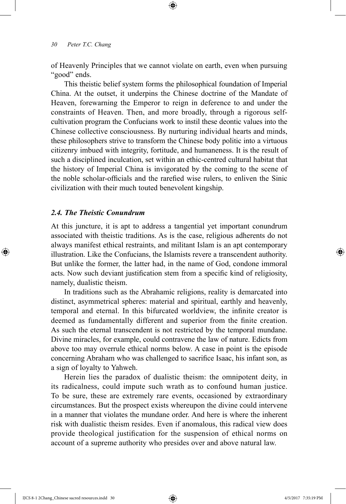of Heavenly Principles that we cannot violate on earth, even when pursuing "good" ends.

⊕

This theistic belief system forms the philosophical foundation of Imperial China. At the outset, it underpins the Chinese doctrine of the Mandate of Heaven, forewarning the Emperor to reign in deference to and under the constraints of Heaven. Then, and more broadly, through a rigorous selfcultivation program the Confucians work to instil these deontic values into the Chinese collective consciousness. By nurturing individual hearts and minds, these philosophers strive to transform the Chinese body politic into a virtuous citizenry imbued with integrity, fortitude, and humaneness. It is the result of such a disciplined inculcation, set within an ethic-centred cultural habitat that the history of Imperial China is invigorated by the coming to the scene of the noble scholar-officials and the rarefied wise rulers, to enliven the Sinic civilization with their much touted benevolent kingship.

## *2.4. The Theistic Conundrum*

⊕

At this juncture, it is apt to address a tangential yet important conundrum associated with theistic traditions. As is the case, religious adherents do not always manifest ethical restraints, and militant Islam is an apt contemporary illustration. Like the Confucians, the Islamists revere a transcendent authority. But unlike the former, the latter had, in the name of God, condone immoral acts. Now such deviant justification stem from a specific kind of religiosity, namely, dualistic theism.

In traditions such as the Abrahamic religions, reality is demarcated into distinct, asymmetrical spheres: material and spiritual, earthly and heavenly, temporal and eternal. In this bifurcated worldview, the infinite creator is deemed as fundamentally different and superior from the finite creation. As such the eternal transcendent is not restricted by the temporal mundane. Divine miracles, for example, could contravene the law of nature. Edicts from above too may overrule ethical norms below. A case in point is the episode concerning Abraham who was challenged to sacrifice Isaac, his infant son, as a sign of loyalty to Yahweh.

Herein lies the paradox of dualistic theism: the omnipotent deity, in its radicalness, could impute such wrath as to confound human justice. To be sure, these are extremely rare events, occasioned by extraordinary circumstances. But the prospect exists whereupon the divine could intervene in a manner that violates the mundane order. And here is where the inherent risk with dualistic theism resides. Even if anomalous, this radical view does provide theological justification for the suspension of ethical norms on account of a supreme authority who presides over and above natural law.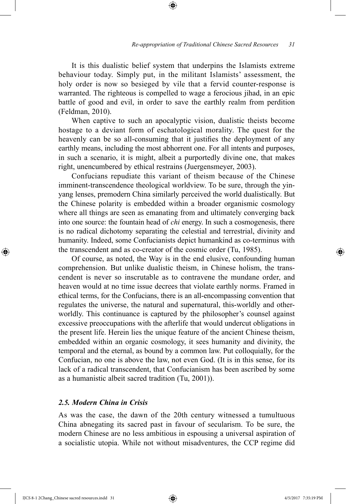It is this dualistic belief system that underpins the Islamists extreme behaviour today. Simply put, in the militant Islamists' assessment, the holy order is now so besieged by vile that a fervid counter-response is warranted. The righteous is compelled to wage a ferocious jihad, in an epic battle of good and evil, in order to save the earthly realm from perdition (Feldman, 2010).

⊕

When captive to such an apocalyptic vision, dualistic theists become hostage to a deviant form of eschatological morality. The quest for the heavenly can be so all-consuming that it justifies the deployment of any earthly means, including the most abhorrent one. For all intents and purposes, in such a scenario, it is might, albeit a purportedly divine one, that makes right, unencumbered by ethical restrains (Juergensmeyer, 2003).

Confucians repudiate this variant of theism because of the Chinese imminent-transcendence theological worldview. To be sure, through the yinyang lenses, premodern China similarly perceived the world dualistically. But the Chinese polarity is embedded within a broader organismic cosmology where all things are seen as emanating from and ultimately converging back into one source: the fountain head of *chi* energy. In such a cosmogenesis, there is no radical dichotomy separating the celestial and terrestrial, divinity and humanity. Indeed, some Confucianists depict humankind as co-terminus with the transcendent and as co-creator of the cosmic order (Tu, 1985).

Of course, as noted, the Way is in the end elusive, confounding human comprehension. But unlike dualistic theism, in Chinese holism, the transcendent is never so inscrutable as to contravene the mundane order, and heaven would at no time issue decrees that violate earthly norms. Framed in ethical terms, for the Confucians, there is an all-encompassing convention that regulates the universe, the natural and supernatural, this-worldly and otherworldly. This continuance is captured by the philosopher's counsel against excessive preoccupations with the afterlife that would undercut obligations in the present life. Herein lies the unique feature of the ancient Chinese theism, embedded within an organic cosmology, it sees humanity and divinity, the temporal and the eternal, as bound by a common law. Put colloquially, for the Confucian, no one is above the law, not even God. (It is in this sense, for its lack of a radical transcendent, that Confucianism has been ascribed by some as a humanistic albeit sacred tradition (Tu, 2001)).

## *2.5. Modern China in Crisis*

As was the case, the dawn of the 20th century witnessed a tumultuous China abnegating its sacred past in favour of secularism. To be sure, the modern Chinese are no less ambitious in espousing a universal aspiration of a socialistic utopia. While not without misadventures, the CCP regime did

⊕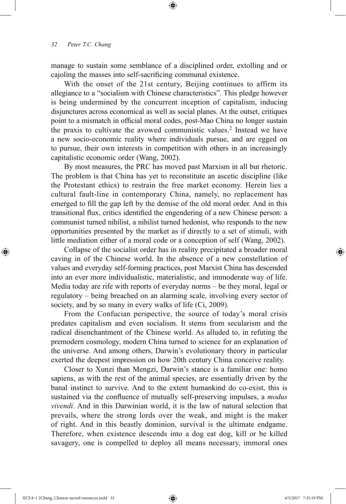manage to sustain some semblance of a disciplined order, extolling and or cajoling the masses into self-sacrificing communal existence.

⊕

With the onset of the 21st century, Beijing continues to affirm its allegiance to a "socialism with Chinese characteristics". This pledge however is being undermined by the concurrent inception of capitalism, inducing disjunctures across economical as well as social planes. At the outset, critiques point to a mismatch in official moral codes, post-Mao China no longer sustain the praxis to cultivate the avowed communistic values.<sup>2</sup> Instead we have a new socio-economic reality where individuals pursue, and are egged on to pursue, their own interests in competition with others in an increasingly capitalistic economic order (Wang, 2002).

By most measures, the PRC has moved past Marxism in all but rhetoric. The problem is that China has yet to reconstitute an ascetic discipline (like the Protestant ethics) to restrain the free market economy. Herein lies a cultural fault-line in contemporary China, namely, no replacement has emerged to fill the gap left by the demise of the old moral order. And in this transitional flux, critics identified the engendering of a new Chinese person: a communist turned nihilist, a nihilist turned hedonist, who responds to the new opportunities presented by the market as if directly to a set of stimuli, with little mediation either of a moral code or a conception of self (Wang, 2002).

Collapse of the socialist order has in reality precipitated a broader moral caving in of the Chinese world. In the absence of a new constellation of values and everyday self-forming practices, post Marxist China has descended into an ever more individualistic, materialistic, and immoderate way of life. Media today are rife with reports of everyday norms – be they moral, legal or regulatory – being breached on an alarming scale, involving every sector of society, and by so many in every walks of life (Ci, 2009).

From the Confucian perspective, the source of today's moral crisis predates capitalism and even socialism. It stems from secularism and the radical disenchantment of the Chinese world. As alluded to, in refuting the premodern cosmology, modern China turned to science for an explanation of the universe. And among others, Darwin's evolutionary theory in particular exerted the deepest impression on how 20th century China conceive reality.

Closer to Xunzi than Mengzi, Darwin's stance is a familiar one: homo sapiens, as with the rest of the animal species, are essentially driven by the banal instinct to survive. And to the extent humankind do co-exist, this is sustained via the confluence of mutually self-preserving impulses, a *modus vivendi*. And in this Darwinian world, it is the law of natural selection that prevails, where the strong lords over the weak, and might is the maker of right. And in this beastly dominion, survival is the ultimate endgame. Therefore, when existence descends into a dog eat dog, kill or be killed savagery, one is compelled to deploy all means necessary, immoral ones

IJCS 8-1 2Chang\_Chinese sacred resources.indd 32 4/5/2017 7:35:19 PM

⊕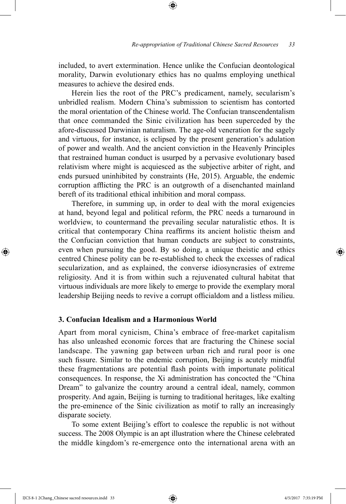included, to avert extermination. Hence unlike the Confucian deontological morality, Darwin evolutionary ethics has no qualms employing unethical measures to achieve the desired ends.

⊕

Herein lies the root of the PRC's predicament, namely, secularism's unbridled realism. Modern China's submission to scientism has contorted the moral orientation of the Chinese world. The Confucian transcendentalism that once commanded the Sinic civilization has been superceded by the afore-discussed Darwinian naturalism. The age-old veneration for the sagely and virtuous, for instance, is eclipsed by the present generation's adulation of power and wealth. And the ancient conviction in the Heavenly Principles that restrained human conduct is usurped by a pervasive evolutionary based relativism where might is acquiesced as the subjective arbiter of right, and ends pursued uninhibited by constraints (He, 2015). Arguable, the endemic corruption afflicting the PRC is an outgrowth of a disenchanted mainland bereft of its traditional ethical inhibition and moral compass.

Therefore, in summing up, in order to deal with the moral exigencies at hand, beyond legal and political reform, the PRC needs a turnaround in worldview, to countermand the prevailing secular naturalistic ethos. It is critical that contemporary China reaffirms its ancient holistic theism and the Confucian conviction that human conducts are subject to constraints, even when pursuing the good. By so doing, a unique theistic and ethics centred Chinese polity can be re-established to check the excesses of radical secularization, and as explained, the converse idiosyncrasies of extreme religiosity. And it is from within such a rejuvenated cultural habitat that virtuous individuals are more likely to emerge to provide the exemplary moral leadership Beijing needs to revive a corrupt officialdom and a listless milieu.

### **3. Confucian Idealism and a Harmonious World**

Apart from moral cynicism, China's embrace of free-market capitalism has also unleashed economic forces that are fracturing the Chinese social landscape. The yawning gap between urban rich and rural poor is one such fissure. Similar to the endemic corruption, Beijing is acutely mindful these fragmentations are potential flash points with importunate political consequences. In response, the Xi administration has concocted the "China Dream" to galvanize the country around a central ideal, namely, common prosperity. And again, Beijing is turning to traditional heritages, like exalting the pre-eminence of the Sinic civilization as motif to rally an increasingly disparate society.

To some extent Beijing's effort to coalesce the republic is not without success. The 2008 Olympic is an apt illustration where the Chinese celebrated the middle kingdom's re-emergence onto the international arena with an

IJCS 8-1 2Chang\_Chinese sacred resources.indd 33 4/5/2017 7:35:19 PM

⊕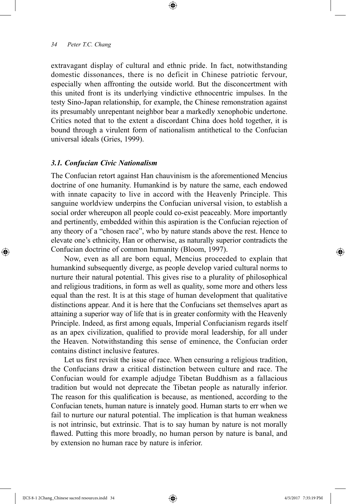extravagant display of cultural and ethnic pride. In fact, notwithstanding domestic dissonances, there is no deficit in Chinese patriotic fervour, especially when affronting the outside world. But the disconcertment with this united front is its underlying vindictive ethnocentric impulses. In the testy Sino-Japan relationship, for example, the Chinese remonstration against its presumably unrepentant neighbor bear a markedly xenophobic undertone. Critics noted that to the extent a discordant China does hold together, it is bound through a virulent form of nationalism antithetical to the Confucian universal ideals (Gries, 1999).

⊕

#### *3.1. Confucian Civic Nationalism*

The Confucian retort against Han chauvinism is the aforementioned Mencius doctrine of one humanity. Humankind is by nature the same, each endowed with innate capacity to live in accord with the Heavenly Principle. This sanguine worldview underpins the Confucian universal vision, to establish a social order whereupon all people could co-exist peaceably. More importantly and pertinently, embedded within this aspiration is the Confucian rejection of any theory of a "chosen race", who by nature stands above the rest. Hence to elevate one's ethnicity, Han or otherwise, as naturally superior contradicts the Confucian doctrine of common humanity (Bloom, 1997).

Now, even as all are born equal, Mencius proceeded to explain that humankind subsequently diverge, as people develop varied cultural norms to nurture their natural potential. This gives rise to a plurality of philosophical and religious traditions, in form as well as quality, some more and others less equal than the rest. It is at this stage of human development that qualitative distinctions appear. And it is here that the Confucians set themselves apart as attaining a superior way of life that is in greater conformity with the Heavenly Principle. Indeed, as first among equals, Imperial Confucianism regards itself as an apex civilization, qualified to provide moral leadership, for all under the Heaven. Notwithstanding this sense of eminence, the Confucian order contains distinct inclusive features.

Let us first revisit the issue of race. When censuring a religious tradition, the Confucians draw a critical distinction between culture and race. The Confucian would for example adjudge Tibetan Buddhism as a fallacious tradition but would not deprecate the Tibetan people as naturally inferior. The reason for this qualification is because, as mentioned, according to the Confucian tenets, human nature is innately good. Human starts to err when we fail to nurture our natural potential. The implication is that human weakness is not intrinsic, but extrinsic. That is to say human by nature is not morally flawed. Putting this more broadly, no human person by nature is banal, and by extension no human race by nature is inferior.

IJCS 8-1 2Chang\_Chinese sacred resources.indd 34 4/5/2017 7:35:19 PM

⊕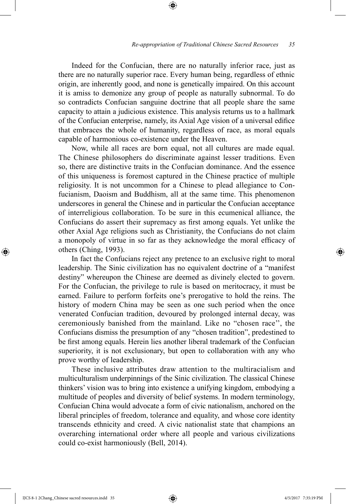Indeed for the Confucian, there are no naturally inferior race, just as there are no naturally superior race. Every human being, regardless of ethnic origin, are inherently good, and none is genetically impaired. On this account it is amiss to demonize any group of people as naturally subnormal. To do so contradicts Confucian sanguine doctrine that all people share the same capacity to attain a judicious existence. This analysis returns us to a hallmark of the Confucian enterprise, namely, its Axial Age vision of a universal edifice that embraces the whole of humanity, regardless of race, as moral equals capable of harmonious co-existence under the Heaven.

⊕

Now, while all races are born equal, not all cultures are made equal. The Chinese philosophers do discriminate against lesser traditions. Even so, there are distinctive traits in the Confucian dominance. And the essence of this uniqueness is foremost captured in the Chinese practice of multiple religiosity. It is not uncommon for a Chinese to plead allegiance to Confucianism, Daoism and Buddhism, all at the same time. This phenomenon underscores in general the Chinese and in particular the Confucian acceptance of interreligious collaboration. To be sure in this ecumenical alliance, the Confucians do assert their supremacy as first among equals. Yet unlike the other Axial Age religions such as Christianity, the Confucians do not claim a monopoly of virtue in so far as they acknowledge the moral efficacy of others (Ching, 1993).

In fact the Confucians reject any pretence to an exclusive right to moral leadership. The Sinic civilization has no equivalent doctrine of a "manifest destiny" whereupon the Chinese are deemed as divinely elected to govern. For the Confucian, the privilege to rule is based on meritocracy, it must be earned. Failure to perform forfeits one's prerogative to hold the reins. The history of modern China may be seen as one such period when the once venerated Confucian tradition, devoured by prolonged internal decay, was ceremoniously banished from the mainland. Like no "chosen race'', the Confucians dismiss the presumption of any "chosen tradition", predestined to be first among equals. Herein lies another liberal trademark of the Confucian superiority, it is not exclusionary, but open to collaboration with any who prove worthy of leadership.

These inclusive attributes draw attention to the multiracialism and multiculturalism underpinnings of the Sinic civilization. The classical Chinese thinkers' vision was to bring into existence a unifying kingdom, embodying a multitude of peoples and diversity of belief systems. In modern terminology, Confucian China would advocate a form of civic nationalism, anchored on the liberal principles of freedom, tolerance and equality, and whose core identity transcends ethnicity and creed. A civic nationalist state that champions an overarching international order where all people and various civilizations could co-exist harmoniously (Bell, 2014).

IJCS 8-1 2Chang\_Chinese sacred resources.indd 35 4/5/2017 7:35:19 PM

⊕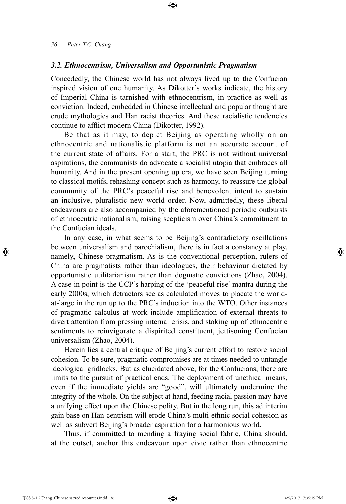#### *3.2. Ethnocentrism, Universalism and Opportunistic Pragmatism*

Concededly, the Chinese world has not always lived up to the Confucian inspired vision of one humanity. As Dikotter's works indicate, the history of Imperial China is tarnished with ethnocentrism, in practice as well as conviction. Indeed, embedded in Chinese intellectual and popular thought are crude mythologies and Han racist theories. And these racialistic tendencies continue to afflict modern China (Dikotter, 1992).

⊕

Be that as it may, to depict Beijing as operating wholly on an ethnocentric and nationalistic platform is not an accurate account of the current state of affairs. For a start, the PRC is not without universal aspirations, the communists do advocate a socialist utopia that embraces all humanity. And in the present opening up era, we have seen Beijing turning to classical motifs, rehashing concept such as harmony, to reassure the global community of the PRC's peaceful rise and benevolent intent to sustain an inclusive, pluralistic new world order. Now, admittedly, these liberal endeavours are also accompanied by the aforementioned periodic outbursts of ethnocentric nationalism, raising scepticism over China's commitment to the Confucian ideals.

In any case, in what seems to be Beijing's contradictory oscillations between universalism and parochialism, there is in fact a constancy at play, namely, Chinese pragmatism. As is the conventional perception, rulers of China are pragmatists rather than ideologues, their behaviour dictated by opportunistic utilitarianism rather than dogmatic convictions (Zhao, 2004). A case in point is the CCP's harping of the 'peaceful rise' mantra during the early 2000s, which detractors see as calculated moves to placate the worldat-large in the run up to the PRC's induction into the WTO. Other instances of pragmatic calculus at work include amplification of external threats to divert attention from pressing internal crisis, and stoking up of ethnocentric sentiments to reinvigorate a dispirited constituent, jettisoning Confucian universalism (Zhao, 2004).

Herein lies a central critique of Beijing's current effort to restore social cohesion. To be sure, pragmatic compromises are at times needed to untangle ideological gridlocks. But as elucidated above, for the Confucians, there are limits to the pursuit of practical ends. The deployment of unethical means, even if the immediate yields are "good", will ultimately undermine the integrity of the whole. On the subject at hand, feeding racial passion may have a unifying effect upon the Chinese polity. But in the long run, this ad interim gain base on Han-centrism will erode China's multi-ethnic social cohesion as well as subvert Beijing's broader aspiration for a harmonious world.

Thus, if committed to mending a fraying social fabric, China should, at the outset, anchor this endeavour upon civic rather than ethnocentric

IJCS 8-1 2Chang\_Chinese sacred resources.indd 36 4/5/2017 7:35:19 PM

⊕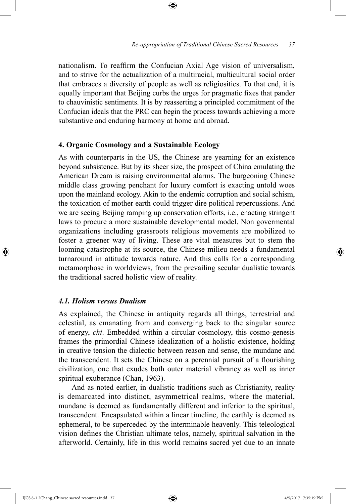nationalism. To reaffirm the Confucian Axial Age vision of universalism, and to strive for the actualization of a multiracial, multicultural social order that embraces a diversity of people as well as religiosities. To that end, it is equally important that Beijing curbs the urges for pragmatic fixes that pander to chauvinistic sentiments. It is by reasserting a principled commitment of the Confucian ideals that the PRC can begin the process towards achieving a more substantive and enduring harmony at home and abroad.

⊕

#### **4. Organic Cosmology and a Sustainable Ecology**

As with counterparts in the US, the Chinese are yearning for an existence beyond subsistence. But by its sheer size, the prospect of China emulating the American Dream is raising environmental alarms. The burgeoning Chinese middle class growing penchant for luxury comfort is exacting untold woes upon the mainland ecology. Akin to the endemic corruption and social schism, the toxication of mother earth could trigger dire political repercussions. And we are seeing Beijing ramping up conservation efforts, i.e., enacting stringent laws to procure a more sustainable developmental model. Non govermental organizations including grassroots religious movements are mobilized to foster a greener way of living. These are vital measures but to stem the looming catastrophe at its source, the Chinese milieu needs a fundamental turnaround in attitude towards nature. And this calls for a corresponding metamorphose in worldviews, from the prevailing secular dualistic towards the traditional sacred holistic view of reality.

#### *4.1. Holism versus Dualism*

⊕

As explained, the Chinese in antiquity regards all things, terrestrial and celestial, as emanating from and converging back to the singular source of energy, *chi*. Embedded within a circular cosmology, this cosmo-genesis frames the primordial Chinese idealization of a holistic existence, holding in creative tension the dialectic between reason and sense, the mundane and the transcendent. It sets the Chinese on a perennial pursuit of a flourishing civilization, one that exudes both outer material vibrancy as well as inner spiritual exuberance (Chan, 1963).

And as noted earlier, in dualistic traditions such as Christianity, reality is demarcated into distinct, asymmetrical realms, where the material, mundane is deemed as fundamentally different and inferior to the spiritual, transcendent. Encapsulated within a linear timeline, the earthly is deemed as ephemeral, to be superceded by the interminable heavenly. This teleological vision defines the Christian ultimate telos, namely, spiritual salvation in the afterworld. Certainly, life in this world remains sacred yet due to an innate

IJCS 8-1 2Chang\_Chinese sacred resources.indd 37 4/5/2017 7:35:19 PM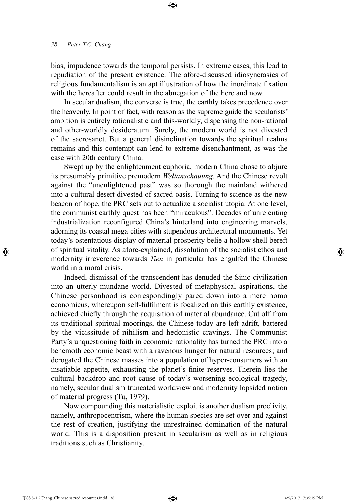bias, impudence towards the temporal persists. In extreme cases, this lead to repudiation of the present existence. The afore-discussed idiosyncrasies of religious fundamentalism is an apt illustration of how the inordinate fixation with the hereafter could result in the abnegation of the here and now.

⊕

In secular dualism, the converse is true, the earthly takes precedence over the heavenly. In point of fact, with reason as the supreme guide the secularists' ambition is entirely rationalistic and this-worldly, dispensing the non-rational and other-worldly desideratum. Surely, the modern world is not divested of the sacrosanct. But a general disinclination towards the spiritual realms remains and this contempt can lend to extreme disenchantment, as was the case with 20th century China.

Swept up by the enlightenment euphoria, modern China chose to abjure its presumably primitive premodern *Weltanschauung*. And the Chinese revolt against the "unenlightened past" was so thorough the mainland withered into a cultural desert divested of sacred oasis. Turning to science as the new beacon of hope, the PRC sets out to actualize a socialist utopia. At one level, the communist earthly quest has been "miraculous". Decades of unrelenting industrialization reconfigured China's hinterland into engineering marvels, adorning its coastal mega-cities with stupendous architectural monuments. Yet today's ostentatious display of material prosperity belie a hollow shell bereft of spiritual vitality. As afore-explained, dissolution of the socialist ethos and modernity irreverence towards *Tien* in particular has engulfed the Chinese world in a moral crisis.

Indeed, dismissal of the transcendent has denuded the Sinic civilization into an utterly mundane world. Divested of metaphysical aspirations, the Chinese personhood is correspondingly pared down into a mere homo economicus, whereupon self-fulfilment is focalized on this earthly existence, achieved chiefly through the acquisition of material abundance. Cut off from its traditional spiritual moorings, the Chinese today are left adrift, battered by the vicissitude of nihilism and hedonistic cravings. The Communist Party's unquestioning faith in economic rationality has turned the PRC into a behemoth economic beast with a ravenous hunger for natural resources; and derogated the Chinese masses into a population of hyper-consumers with an insatiable appetite, exhausting the planet's finite reserves. Therein lies the cultural backdrop and root cause of today's worsening ecological tragedy, namely, secular dualism truncated worldview and modernity lopsided notion of material progress (Tu, 1979).

Now compounding this materialistic exploit is another dualism proclivity, namely, anthropocentrism, where the human species are set over and against the rest of creation, justifying the unrestrained domination of the natural world. This is a disposition present in secularism as well as in religious traditions such as Christianity.

⊕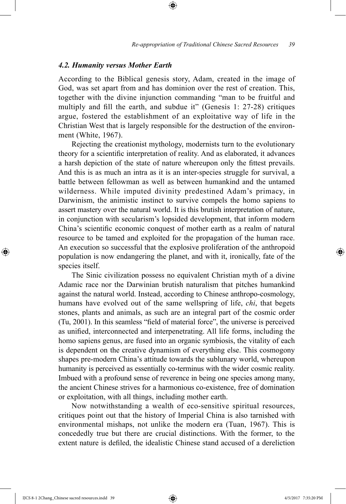#### *4.2. Humanity versus Mother Earth*

According to the Biblical genesis story, Adam, created in the image of God, was set apart from and has dominion over the rest of creation. This, together with the divine injunction commanding "man to be fruitful and multiply and fill the earth, and subdue it" (Genesis 1: 27-28) critiques argue, fostered the establishment of an exploitative way of life in the Christian West that is largely responsible for the destruction of the environment (White, 1967).

⊕

Rejecting the creationist mythology, modernists turn to the evolutionary theory for a scientific interpretation of reality. And as elaborated, it advances a harsh depiction of the state of nature whereupon only the fittest prevails. And this is as much an intra as it is an inter-species struggle for survival, a battle between fellowman as well as between humankind and the untamed wilderness. While imputed divinity predestined Adam's primacy, in Darwinism, the animistic instinct to survive compels the homo sapiens to assert mastery over the natural world. It is this brutish interpretation of nature, in conjunction with secularism's lopsided development, that inform modern China's scientific economic conquest of mother earth as a realm of natural resource to be tamed and exploited for the propagation of the human race. An execution so successful that the explosive proliferation of the anthropoid population is now endangering the planet, and with it, ironically, fate of the species itself.

The Sinic civilization possess no equivalent Christian myth of a divine Adamic race nor the Darwinian brutish naturalism that pitches humankind against the natural world. Instead, according to Chinese anthropo-cosmology, humans have evolved out of the same wellspring of life, *chi*, that begets stones, plants and animals, as such are an integral part of the cosmic order (Tu, 2001). In this seamless "field of material force", the universe is perceived as unified, interconnected and interpenetrating. All life forms, including the homo sapiens genus, are fused into an organic symbiosis, the vitality of each is dependent on the creative dynamism of everything else. This cosmogony shapes pre-modern China's attitude towards the sublunary world, whereupon humanity is perceived as essentially co-terminus with the wider cosmic reality. Imbued with a profound sense of reverence in being one species among many, the ancient Chinese strives for a harmonious co-existence, free of domination or exploitation, with all things, including mother earth.

Now notwithstanding a wealth of eco-sensitive spiritual resources, critiques point out that the history of Imperial China is also tarnished with environmental mishaps, not unlike the modern era (Tuan, 1967). This is concededly true but there are crucial distinctions. With the former, to the extent nature is defiled, the idealistic Chinese stand accused of a dereliction

⊕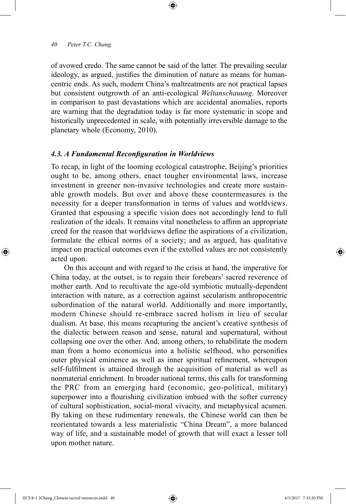of avowed credo. The same cannot be said of the latter. The prevailing secular ideology, as argued, justifies the diminution of nature as means for humancentric ends. As such, modern China's maltreatments are not practical lapses but consistent outgrowth of an anti-ecological *Weltanschauung*. Moreover in comparison to past devastations which are accidental anomalies, reports are warning that the degradation today is far more systematic in scope and historically unprecedented in scale, with potentially irreversible damage to the planetary whole (Economy, 2010).

⊕

#### *4.3. A Fundamental Reconfiguration in Worldviews*

To recap, in light of the looming ecological catastrophe, Beijing's priorities ought to be, among others, enact tougher environmental laws, increase investment in greener non-invasive technologies and create more sustainable growth models. But over and above these countermeasures is the necessity for a deeper transformation in terms of values and worldviews. Granted that espousing a specific vision does not accordingly lend to full realization of the ideals. It remains vital nonetheless to affirm an appropriate creed for the reason that worldviews define the aspirations of a civilization, formulate the ethical norms of a society; and as argued, has qualitative impact on practical outcomes even if the extolled values are not consistently acted upon.

On this account and with regard to the crisis at hand, the imperative for China today, at the outset, is to regain their forebears' sacred reverence of mother earth. And to recultivate the age-old symbiotic mutually-dependent interaction with nature, as a correction against secularism anthropocentric subordination of the natural world. Additionally and more importantly, modern Chinese should re-embrace sacred holism in lieu of secular dualism. At base, this means recapturing the ancient's creative synthesis of the dialectic between reason and sense, natural and supernatural, without collapsing one over the other. And, among others, to rehabilitate the modern man from a homo economicus into a holistic selfhood, who personifies outer physical eminence as well as inner spiritual refinement, whereupon self-fulfilment is attained through the acquisition of material as well as nonmaterial enrichment. In broader national terms, this calls for transforming the PRC from an emerging hard (economic, geo-political, military) superpower into a flourishing civilization imbued with the softer currency of cultural sophistication, social-moral vivacity, and metaphysical acumen. By taking on these rudimentary renewals, the Chinese world can then be reorientated towards a less materialistic "China Dream", a more balanced way of life, and a sustainable model of growth that will exact a lesser toll upon mother nature.

IJCS 8-1 2Chang\_Chinese sacred resources.indd 40 4/5/2017 7:35:20 PM

⊕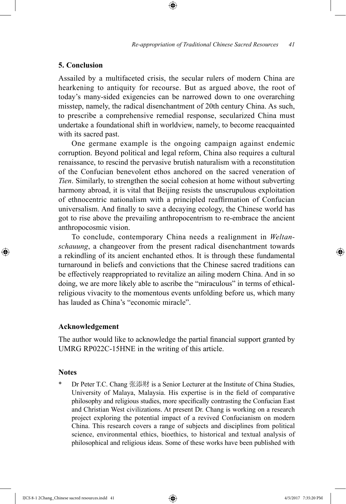## **5. Conclusion**

Assailed by a multifaceted crisis, the secular rulers of modern China are hearkening to antiquity for recourse. But as argued above, the root of today's many-sided exigencies can be narrowed down to one overarching misstep, namely, the radical disenchantment of 20th century China. As such, to prescribe a comprehensive remedial response, secularized China must undertake a foundational shift in worldview, namely, to become reacquainted with its sacred past.

⊕

One germane example is the ongoing campaign against endemic corruption. Beyond political and legal reform, China also requires a cultural renaissance, to rescind the pervasive brutish naturalism with a reconstitution of the Confucian benevolent ethos anchored on the sacred veneration of *Tien*. Similarly, to strengthen the social cohesion at home without subverting harmony abroad, it is vital that Beijing resists the unscrupulous exploitation of ethnocentric nationalism with a principled reaffirmation of Confucian universalism. And finally to save a decaying ecology, the Chinese world has got to rise above the prevailing anthropocentrism to re-embrace the ancient anthropocosmic vision.

To conclude, contemporary China needs a realignment in *Weltanschauung*, a changeover from the present radical disenchantment towards a rekindling of its ancient enchanted ethos. It is through these fundamental turnaround in beliefs and convictions that the Chinese sacred traditions can be effectively reappropriated to revitalize an ailing modern China. And in so doing, we are more likely able to ascribe the "miraculous" in terms of ethicalreligious vivacity to the momentous events unfolding before us, which many has lauded as China's "economic miracle".

#### **Acknowledgement**

The author would like to acknowledge the partial financial support granted by UMRG RP022C-15HNE in the writing of this article.

#### **Notes**

⊕

Dr Peter T.C. Chang 张添财 is a Senior Lecturer at the Institute of China Studies, University of Malaya, Malaysia. His expertise is in the field of comparative philosophy and religious studies, more specifically contrasting the Confucian East and Christian West civilizations. At present Dr. Chang is working on a research project exploring the potential impact of a revived Confucianism on modern China. This research covers a range of subjects and disciplines from political science, environmental ethics, bioethics, to historical and textual analysis of philosophical and religious ideas. Some of these works have been published with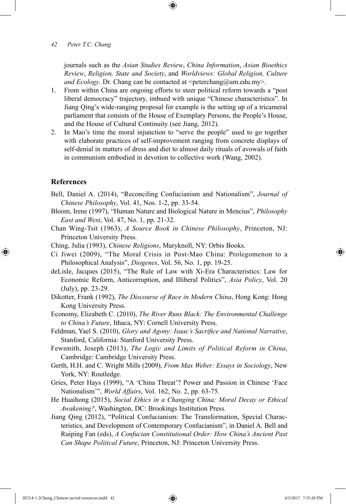journals such as the *Asian Studies Review*, *China Information*, *Asian Bioethics Review*, *Religion, State and Society*, and *Worldviews: Global Religion, Culture and Ecology*. Dr. Chang can be contacted at  $\leq$  peterchang@um.edu.my>.

- 1. From within China are ongoing efforts to steer political reform towards a "post liberal democracy" trajectory, imbued with unique "Chinese characteristics". In Jiang Qing's wide-ranging proposal for example is the setting up of a tricameral parliament that consists of the House of Exemplary Persons, the People's House, and the House of Cultural Continuity (see Jiang, 2012).
- 2. In Mao's time the moral injunction to "serve the people" used to go together with elaborate practices of self-improvement ranging from concrete displays of self-denial in matters of dress and diet to almost daily rituals of avowals of faith in communism embodied in devotion to collective work (Wang, 2002).

#### **References**

⊕

- Bell, Daniel A. (2014), "Reconciling Confucianism and Nationalism", *Journal of Chinese Philosophy*, Vol. 41, Nos. 1-2, pp. 33-54.
- Bloom, Irene (1997), "Human Nature and Biological Nature in Mencius", *Philosophy East and West*, Vol. 47, No. 1, pp. 21-32.
- Chan Wing-Tsit (1963), *A Source Book in Chinese Philosophy*, Princeton, NJ: Princeton University Press.
- Ching, Julia (1993), *Chinese Religions*, Maryknoll, NY: Orbis Books.
- Ci Jiwei (2009), "The Moral Crisis in Post-Mao China: Prolegomenon to a Philosophical Analysis", *Diogenes*, Vol. 56, No. 1, pp. 19-25.
- deLisle, Jacques (2015), "The Rule of Law with Xi-Era Characteristics: Law for Economic Reform, Anticorruption, and Illiberal Politics", *Asia Policy*, Vol. 20 (July), pp. 23-29.
- Dikotter, Frank (1992), *The Discourse of Race in Modern China*, Hong Kong: Hong Kong University Press.
- Economy, Elizabeth C. (2010), *The River Runs Black: The Environmental Challenge to China's Future*, Ithaca, NY: Cornell University Press.
- Feldman, Yael S. (2010), *Glory and Agony: Isaac's Sacrifice and National Narrative*, Stanford, California: Stanford University Press.
- Fewsmith, Joseph (2013), *The Logic and Limits of Political Reform in China*, Cambridge: Cambridge University Press.
- Gerth, H.H. and C. Wright Mills (2009), *From Max Weber: Essays in Sociology*, New York, NY: Routledge.
- Gries, Peter Hays (1999), "A 'China Threat'? Power and Passion in Chinese 'Face Nationalism'", *World Affairs*, Vol. 162, No. 2, pp. 63-75.
- He Huaihong (2015), *Social Ethics in a Changing China: Moral Decay or Ethical Awakening?*, Washington, DC: Brookings Institution Press.
- Jiang Qing (2012), "Political Confucianism: The Transformation, Special Characteristics, and Development of Contemporary Confucianism", in Daniel A. Bell and Ruiping Fan (eds), *A Confucian Constitutional Order: How China's Ancient Past Can Shape Political Future*, Princeton, NJ: Princeton University Press.

↔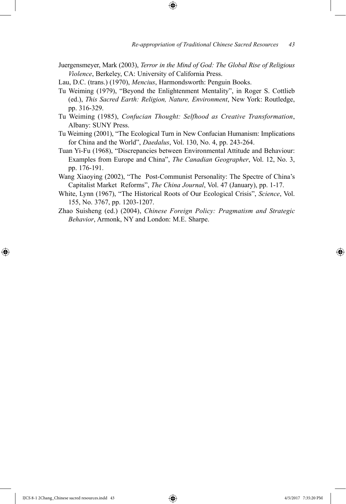Juergensmeyer, Mark (2003), *Terror in the Mind of God: The Global Rise of Religious Violence*, Berkeley, CA: University of California Press.

⊕

Lau, D.C. (trans.) (1970), *Mencius*, Harmondsworth: Penguin Books.

- Tu Weiming (1979), "Beyond the Enlightenment Mentality", in Roger S. Cottlieb (ed.), *This Sacred Earth: Religion, Nature, Environment*, New York: Routledge, pp. 316-329.
- Tu Weiming (1985), *Confucian Thought: Selfhood as Creative Transformation*, Albany: SUNY Press.
- Tu Weiming (2001), "The Ecological Turn in New Confucian Humanism: Implications for China and the World", *Daedalus*, Vol. 130, No. 4, pp. 243-264.
- Tuan Yi-Fu (1968), "Discrepancies between Environmental Attitude and Behaviour: Examples from Europe and China", *The Canadian Geographer*, Vol. 12, No. 3, pp. 176-191.
- Wang Xiaoying (2002), "The Post-Communist Personality: The Spectre of China's Capitalist Market Reforms", *The China Journal*, Vol. 47 (January), pp. 1-17.
- White, Lynn (1967), "The Historical Roots of Our Ecological Crisis", *Science*, Vol. 155, No. 3767, pp. 1203-1207.
- Zhao Suisheng (ed.) (2004), *Chinese Foreign Policy: Pragmatism and Strategic Behavior*, Armonk, NY and London: M.E. Sharpe.

⊕